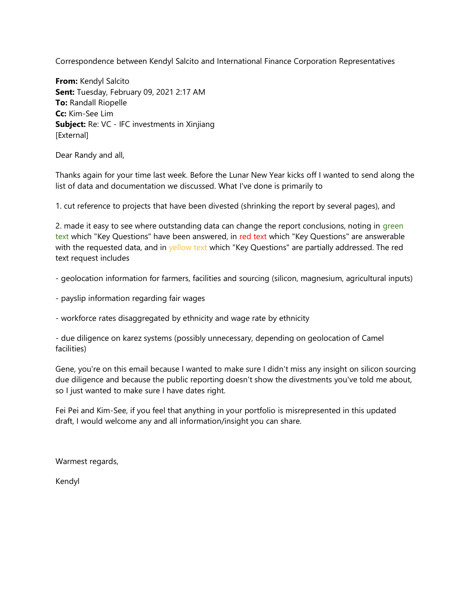Correspondence between Kendyl Salcito and International Finance Corporation Representatives

**From:** Kendyl Salcito **Sent:** Tuesday, February 09, 2021 2:17 AM **To:** Randall Riopelle **Cc:** Kim-See Lim **Subject:** Re: VC - IFC investments in Xinjiang [External]

Dear Randy and all,

Thanks again for your time last week. Before the Lunar New Year kicks off I wanted to send along the list of data and documentation we discussed. What I've done is primarily to

1. cut reference to projects that have been divested (shrinking the report by several pages), and

2. made it easy to see where outstanding data can change the report conclusions, noting in green text which "Key Questions" have been answered, in red text which "Key Questions" are answerable with the requested data, and in yellow text which "Key Questions" are partially addressed. The red text request includes

- geolocation information for farmers, facilities and sourcing (silicon, magnesium, agricultural inputs)

- payslip information regarding fair wages

- workforce rates disaggregated by ethnicity and wage rate by ethnicity

- due diligence on karez systems (possibly unnecessary, depending on geolocation of Camel facilities)

Gene, you're on this email because I wanted to make sure I didn't miss any insight on silicon sourcing due diligence and because the public reporting doesn't show the divestments you've told me about, so I just wanted to make sure I have dates right.

Fei Pei and Kim-See, if you feel that anything in your portfolio is misrepresented in this updated draft, I would welcome any and all information/insight you can share.

Warmest regards,

Kendyl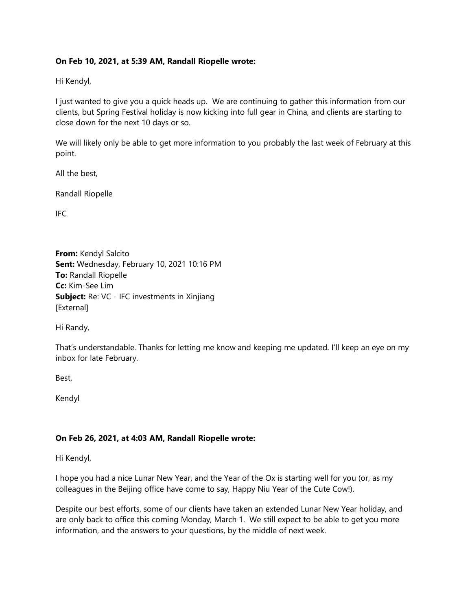## **On Feb 10, 2021, at 5:39 AM, Randall Riopelle wrote:**

Hi Kendyl,

I just wanted to give you a quick heads up. We are continuing to gather this information from our clients, but Spring Festival holiday is now kicking into full gear in China, and clients are starting to close down for the next 10 days or so.

We will likely only be able to get more information to you probably the last week of February at this point.

All the best,

Randall Riopelle

IFC

**From:** Kendyl Salcito **Sent:** Wednesday, February 10, 2021 10:16 PM **To:** Randall Riopelle **Cc:** Kim-See Lim **Subject:** Re: VC - IFC investments in Xinjiang [External]

Hi Randy,

That's understandable. Thanks for letting me know and keeping me updated. I'll keep an eye on my inbox for late February.

Best,

Kendyl

## **On Feb 26, 2021, at 4:03 AM, Randall Riopelle wrote:**

Hi Kendyl,

I hope you had a nice Lunar New Year, and the Year of the Ox is starting well for you (or, as my colleagues in the Beijing office have come to say, Happy Niu Year of the Cute Cow!).

Despite our best efforts, some of our clients have taken an extended Lunar New Year holiday, and are only back to office this coming Monday, March 1. We still expect to be able to get you more information, and the answers to your questions, by the middle of next week.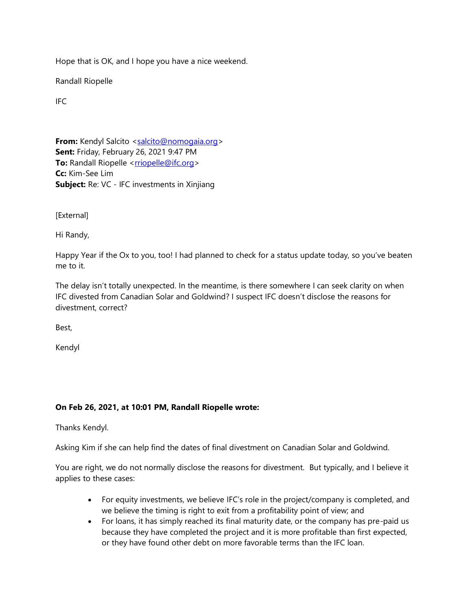Hope that is OK, and I hope you have a nice weekend.

Randall Riopelle

IFC

**From:** Kendyl Salcito [<salcito@nomogaia.org>](mailto:salcito@nomogaia.org) **Sent:** Friday, February 26, 2021 9:47 PM **To:** Randall Riopelle [<rriopelle@ifc.org>](mailto:rriopelle@ifc.org) **Cc:** Kim-See Lim **Subject:** Re: VC - IFC investments in Xinjiang

[External]

Hi Randy,

Happy Year if the Ox to you, too! I had planned to check for a status update today, so you've beaten me to it.

The delay isn't totally unexpected. In the meantime, is there somewhere I can seek clarity on when IFC divested from Canadian Solar and Goldwind? I suspect IFC doesn't disclose the reasons for divestment, correct?

Best,

Kendyl

## **On Feb 26, 2021, at 10:01 PM, Randall Riopelle wrote:**

Thanks Kendyl.

Asking Kim if she can help find the dates of final divestment on Canadian Solar and Goldwind.

You are right, we do not normally disclose the reasons for divestment. But typically, and I believe it applies to these cases:

- For equity investments, we believe IFC's role in the project/company is completed, and we believe the timing is right to exit from a profitability point of view; and
- For loans, it has simply reached its final maturity date, or the company has pre-paid us because they have completed the project and it is more profitable than first expected, or they have found other debt on more favorable terms than the IFC loan.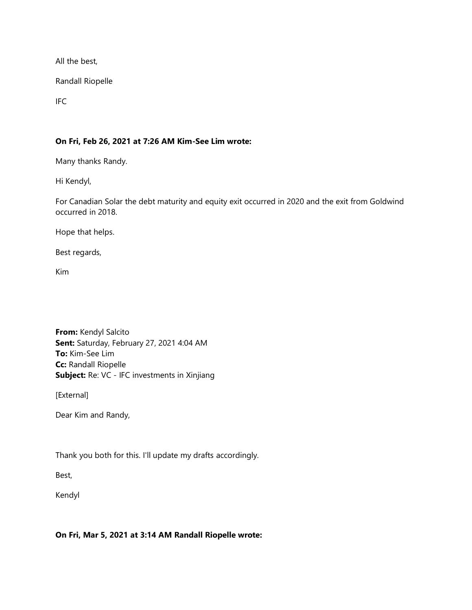All the best,

Randall Riopelle

IFC

## **On Fri, Feb 26, 2021 at 7:26 AM Kim-See Lim wrote:**

Many thanks Randy.

Hi Kendyl,

For Canadian Solar the debt maturity and equity exit occurred in 2020 and the exit from Goldwind occurred in 2018.

Hope that helps.

Best regards,

Kim

**From:** Kendyl Salcito **Sent:** Saturday, February 27, 2021 4:04 AM **To:** Kim-See Lim **Cc:** Randall Riopelle **Subject:** Re: VC - IFC investments in Xinjiang

[External]

Dear Kim and Randy,

Thank you both for this. I'll update my drafts accordingly.

Best,

Kendyl

#### **On Fri, Mar 5, 2021 at 3:14 AM Randall Riopelle wrote:**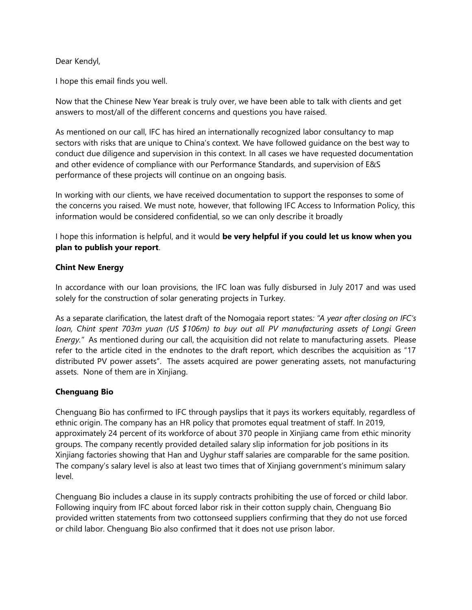Dear Kendyl,

I hope this email finds you well.

Now that the Chinese New Year break is truly over, we have been able to talk with clients and get answers to most/all of the different concerns and questions you have raised.

As mentioned on our call, IFC has hired an internationally recognized labor consultancy to map sectors with risks that are unique to China's context. We have followed guidance on the best way to conduct due diligence and supervision in this context. In all cases we have requested documentation and other evidence of compliance with our Performance Standards, and supervision of E&S performance of these projects will continue on an ongoing basis.

In working with our clients, we have received documentation to support the responses to some of the concerns you raised. We must note, however, that following IFC Access to Information Policy, this information would be considered confidential, so we can only describe it broadly

I hope this information is helpful, and it would **be very helpful if you could let us know when you plan to publish your report**.

### **Chint New Energy**

In accordance with our loan provisions, the IFC loan was fully disbursed in July 2017 and was used solely for the construction of solar generating projects in Turkey.

As a separate clarification, the latest draft of the Nomogaia report states*: "A year after closing on IFC's loan, Chint spent 703m yuan (US \$106m) to buy out all PV manufacturing assets of Longi Green Energy."* As mentioned during our call, the acquisition did not relate to manufacturing assets. Please refer to the article cited in the endnotes to the draft report, which describes the acquisition as "17 distributed PV power assets". The assets acquired are power generating assets, not manufacturing assets. None of them are in Xinjiang.

## **Chenguang Bio**

Chenguang Bio has confirmed to IFC through payslips that it pays its workers equitably, regardless of ethnic origin. The company has an HR policy that promotes equal treatment of staff. In 2019, approximately 24 percent of its workforce of about 370 people in Xinjiang came from ethic minority groups. The company recently provided detailed salary slip information for job positions in its Xinjiang factories showing that Han and Uyghur staff salaries are comparable for the same position. The company's salary level is also at least two times that of Xinjiang government's minimum salary level.

Chenguang Bio includes a clause in its supply contracts prohibiting the use of forced or child labor. Following inquiry from IFC about forced labor risk in their cotton supply chain, Chenguang Bio provided written statements from two cottonseed suppliers confirming that they do not use forced or child labor. Chenguang Bio also confirmed that it does not use prison labor.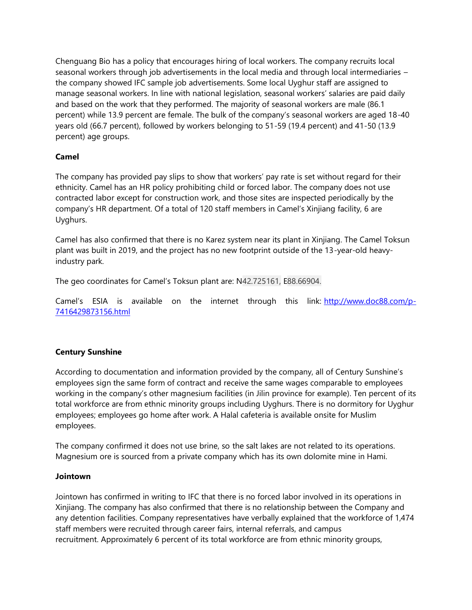Chenguang Bio has a policy that encourages hiring of local workers. The company recruits local seasonal workers through job advertisements in the local media and through local intermediaries – the company showed IFC sample job advertisements. Some local Uyghur staff are assigned to manage seasonal workers. In line with national legislation, seasonal workers' salaries are paid daily and based on the work that they performed. The majority of seasonal workers are male (86.1 percent) while 13.9 percent are female. The bulk of the company's seasonal workers are aged 18-40 years old (66.7 percent), followed by workers belonging to 51-59 (19.4 percent) and 41-50 (13.9 percent) age groups.

## **Camel**

The company has provided pay slips to show that workers' pay rate is set without regard for their ethnicity. Camel has an HR policy prohibiting child or forced labor. The company does not use contracted labor except for construction work, and those sites are inspected periodically by the company's HR department. Of a total of 120 staff members in Camel's Xinjiang facility, 6 are Uyghurs.

Camel has also confirmed that there is no Karez system near its plant in Xinjiang. The Camel Toksun plant was built in 2019, and the project has no new footprint outside of the 13-year-old heavyindustry park.

The geo coordinates for Camel's Toksun plant are: N42.725161, E88.66904.

Camel's ESIA is available on the internet through this link: [http://www.doc88.com/p-](https://nam11.safelinks.protection.outlook.com/?url=http%3A%2F%2Fwww.doc88.com%2Fp-7416429873156.html&data=04%7C01%7Crriopelle%40ifc.org%7Ca194a4d4ffef460b0a6a08d8e3cbcbba%7C31a2fec0266b4c67b56e2796d8f59c36%7C0%7C0%7C637509811741189333%7CUnknown%7CTWFpbGZsb3d8eyJWIjoiMC4wLjAwMDAiLCJQIjoiV2luMzIiLCJBTiI6Ik1haWwiLCJXVCI6Mn0%3D%7C1000&sdata=g2vCGSf67xNBmqdjhX4KTN15Ybus1Nq2sZpiZWD6sDk%3D&reserved=0)[7416429873156.html](https://nam11.safelinks.protection.outlook.com/?url=http%3A%2F%2Fwww.doc88.com%2Fp-7416429873156.html&data=04%7C01%7Crriopelle%40ifc.org%7Ca194a4d4ffef460b0a6a08d8e3cbcbba%7C31a2fec0266b4c67b56e2796d8f59c36%7C0%7C0%7C637509811741189333%7CUnknown%7CTWFpbGZsb3d8eyJWIjoiMC4wLjAwMDAiLCJQIjoiV2luMzIiLCJBTiI6Ik1haWwiLCJXVCI6Mn0%3D%7C1000&sdata=g2vCGSf67xNBmqdjhX4KTN15Ybus1Nq2sZpiZWD6sDk%3D&reserved=0)

## **Century Sunshine**

According to documentation and information provided by the company, all of Century Sunshine's employees sign the same form of contract and receive the same wages comparable to employees working in the company's other magnesium facilities (in Jilin province for example). Ten percent of its total workforce are from ethnic minority groups including Uyghurs. There is no dormitory for Uyghur employees; employees go home after work. A Halal cafeteria is available onsite for Muslim employees.

The company confirmed it does not use brine, so the salt lakes are not related to its operations. Magnesium ore is sourced from a private company which has its own dolomite mine in Hami.

#### **Jointown**

Jointown has confirmed in writing to IFC that there is no forced labor involved in its operations in Xinjiang. The company has also confirmed that there is no relationship between the Company and any detention facilities. Company representatives have verbally explained that the workforce of 1,474 staff members were recruited through career fairs, internal referrals, and campus recruitment. Approximately 6 percent of its total workforce are from ethnic minority groups,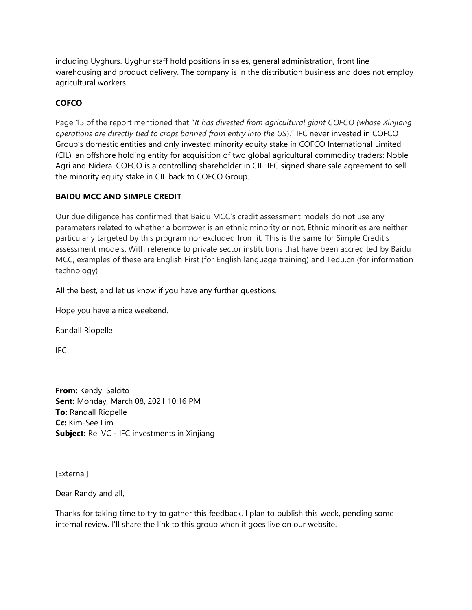including Uyghurs. Uyghur staff hold positions in sales, general administration, front line warehousing and product delivery. The company is in the distribution business and does not employ agricultural workers.

# **COFCO**

Page 15 of the report mentioned that "*It has divested from agricultural giant COFCO (whose Xinjiang operations are directly tied to crops banned from entry into the US*)." IFC never invested in COFCO Group's domestic entities and only invested minority equity stake in COFCO International Limited (CIL), an offshore holding entity for acquisition of two global agricultural commodity traders: Noble Agri and Nidera. COFCO is a controlling shareholder in CIL. IFC signed share sale agreement to sell the minority equity stake in CIL back to COFCO Group.

## **BAIDU MCC AND SIMPLE CREDIT**

Our due diligence has confirmed that Baidu MCC's credit assessment models do not use any parameters related to whether a borrower is an ethnic minority or not. Ethnic minorities are neither particularly targeted by this program nor excluded from it. This is the same for Simple Credit's assessment models. With reference to private sector institutions that have been accredited by Baidu MCC, examples of these are English First (for English language training) and Tedu.cn (for information technology)

All the best, and let us know if you have any further questions.

Hope you have a nice weekend.

Randall Riopelle

IFC

**From:** Kendyl Salcito **Sent:** Monday, March 08, 2021 10:16 PM **To:** Randall Riopelle **Cc:** Kim-See Lim **Subject:** Re: VC - IFC investments in Xinjiang

[External]

Dear Randy and all,

Thanks for taking time to try to gather this feedback. I plan to publish this week, pending some internal review. I'll share the link to this group when it goes live on our website.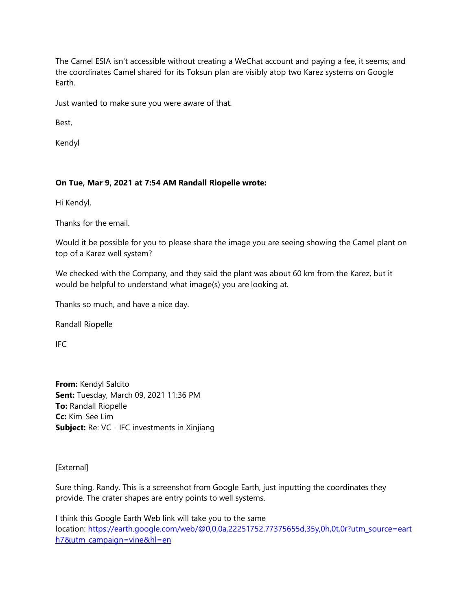The Camel ESIA isn't accessible without creating a WeChat account and paying a fee, it seems; and the coordinates Camel shared for its Toksun plan are visibly atop two Karez systems on Google Earth.

Just wanted to make sure you were aware of that.

Best,

Kendyl

## **On Tue, Mar 9, 2021 at 7:54 AM Randall Riopelle wrote:**

Hi Kendyl,

Thanks for the email.

Would it be possible for you to please share the image you are seeing showing the Camel plant on top of a Karez well system?

We checked with the Company, and they said the plant was about 60 km from the Karez, but it would be helpful to understand what image(s) you are looking at.

Thanks so much, and have a nice day.

Randall Riopelle

IFC

**From:** Kendyl Salcito **Sent:** Tuesday, March 09, 2021 11:36 PM **To:** Randall Riopelle **Cc:** Kim-See Lim **Subject:** Re: VC - IFC investments in Xinjiang

[External]

Sure thing, Randy. This is a screenshot from Google Earth, just inputting the coordinates they provide. The crater shapes are entry points to well systems.

I think this Google Earth Web link will take you to the same location: [https://earth.google.com/web/@0,0,0a,22251752.77375655d,35y,0h,0t,0r?utm\\_source=eart](https://nam11.safelinks.protection.outlook.com/?url=https%3A%2F%2Fearth.google.com%2Fweb%2F%400%2C0%2C0a%2C22251752.77375655d%2C35y%2C0h%2C0t%2C0r%3Futm_source%3Dearth7%26utm_campaign%3Dvine%26hl%3Den&data=04%7C01%7Crriopelle%40ifc.org%7Ca194a4d4ffef460b0a6a08d8e3cbcbba%7C31a2fec0266b4c67b56e2796d8f59c36%7C0%7C0%7C637509811741179343%7CUnknown%7CTWFpbGZsb3d8eyJWIjoiMC4wLjAwMDAiLCJQIjoiV2luMzIiLCJBTiI6Ik1haWwiLCJXVCI6Mn0%3D%7C1000&sdata=NR%2BU3WpqWjfyro2bBsNwVMbsoxEa%2BeY9H%2F68HJL%2BhSY%3D&reserved=0) [h7&utm\\_campaign=vine&hl=en](https://nam11.safelinks.protection.outlook.com/?url=https%3A%2F%2Fearth.google.com%2Fweb%2F%400%2C0%2C0a%2C22251752.77375655d%2C35y%2C0h%2C0t%2C0r%3Futm_source%3Dearth7%26utm_campaign%3Dvine%26hl%3Den&data=04%7C01%7Crriopelle%40ifc.org%7Ca194a4d4ffef460b0a6a08d8e3cbcbba%7C31a2fec0266b4c67b56e2796d8f59c36%7C0%7C0%7C637509811741179343%7CUnknown%7CTWFpbGZsb3d8eyJWIjoiMC4wLjAwMDAiLCJQIjoiV2luMzIiLCJBTiI6Ik1haWwiLCJXVCI6Mn0%3D%7C1000&sdata=NR%2BU3WpqWjfyro2bBsNwVMbsoxEa%2BeY9H%2F68HJL%2BhSY%3D&reserved=0)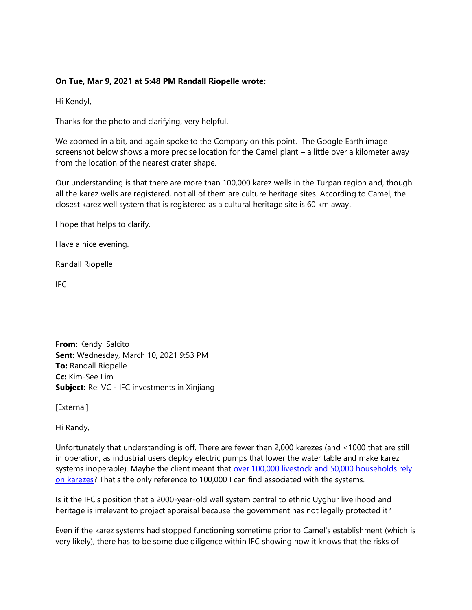## **On Tue, Mar 9, 2021 at 5:48 PM Randall Riopelle wrote:**

Hi Kendyl,

Thanks for the photo and clarifying, very helpful.

We zoomed in a bit, and again spoke to the Company on this point. The Google Earth image screenshot below shows a more precise location for the Camel plant – a little over a kilometer away from the location of the nearest crater shape.

Our understanding is that there are more than 100,000 karez wells in the Turpan region and, though all the karez wells are registered, not all of them are culture heritage sites. According to Camel, the closest karez well system that is registered as a cultural heritage site is 60 km away.

I hope that helps to clarify.

Have a nice evening.

Randall Riopelle

IFC

**From:** Kendyl Salcito **Sent:** Wednesday, March 10, 2021 9:53 PM **To:** Randall Riopelle **Cc:** Kim-See Lim **Subject:** Re: VC - IFC investments in Xinjiang

[External]

Hi Randy,

Unfortunately that understanding is off. There are fewer than 2,000 karezes (and <1000 that are still in operation, as industrial users deploy electric pumps that lower the water table and make karez systems inoperable). Maybe the client meant that [over 100,000 livestock and 50,000 households rely](https://nam11.safelinks.protection.outlook.com/?url=https%3A%2F%2Flink.springer.com%2Fchapter%2F10.1007%2F978-3-030-00728-7_22&data=04%7C01%7Crriopelle%40ifc.org%7Ca194a4d4ffef460b0a6a08d8e3cbcbba%7C31a2fec0266b4c67b56e2796d8f59c36%7C0%7C0%7C637509811741169349%7CUnknown%7CTWFpbGZsb3d8eyJWIjoiMC4wLjAwMDAiLCJQIjoiV2luMzIiLCJBTiI6Ik1haWwiLCJXVCI6Mn0%3D%7C1000&sdata=Bqt54SS9JmEtfTAZVLfb7k%2BuByh4cP8FEMVhmbVeFW8%3D&reserved=0)  [on karezes?](https://nam11.safelinks.protection.outlook.com/?url=https%3A%2F%2Flink.springer.com%2Fchapter%2F10.1007%2F978-3-030-00728-7_22&data=04%7C01%7Crriopelle%40ifc.org%7Ca194a4d4ffef460b0a6a08d8e3cbcbba%7C31a2fec0266b4c67b56e2796d8f59c36%7C0%7C0%7C637509811741169349%7CUnknown%7CTWFpbGZsb3d8eyJWIjoiMC4wLjAwMDAiLCJQIjoiV2luMzIiLCJBTiI6Ik1haWwiLCJXVCI6Mn0%3D%7C1000&sdata=Bqt54SS9JmEtfTAZVLfb7k%2BuByh4cP8FEMVhmbVeFW8%3D&reserved=0) That's the only reference to 100,000 I can find associated with the systems.

Is it the IFC's position that a 2000-year-old well system central to ethnic Uyghur livelihood and heritage is irrelevant to project appraisal because the government has not legally protected it?

Even if the karez systems had stopped functioning sometime prior to Camel's establishment (which is very likely), there has to be some due diligence within IFC showing how it knows that the risks of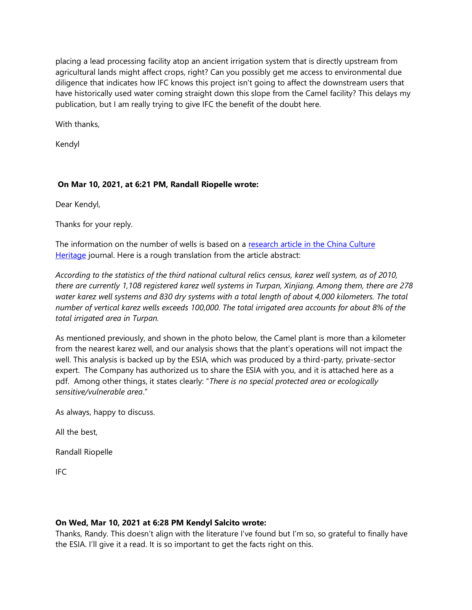placing a lead processing facility atop an ancient irrigation system that is directly upstream from agricultural lands might affect crops, right? Can you possibly get me access to environmental due diligence that indicates how IFC knows this project isn't going to affect the downstream users that have historically used water coming straight down this slope from the Camel facility? This delays my publication, but I am really trying to give IFC the benefit of the doubt here.

With thanks,

Kendyl

## **On Mar 10, 2021, at 6:21 PM, Randall Riopelle wrote:**

Dear Kendyl,

Thanks for your reply.

The information on the number of wells is based on a [research article in the China Culture](https://www.ixueshu.com/h5/document/cd7838079876fcad5d00d6da87964099318947a18e7f9386.html)  [Heritage](https://www.ixueshu.com/h5/document/cd7838079876fcad5d00d6da87964099318947a18e7f9386.html) journal. Here is a rough translation from the article abstract:

*According to the statistics of the third national cultural relics census, karez well system, as of 2010, there are currently 1,108 registered karez well systems in Turpan, Xinjiang. Among them, there are 278 water karez well systems and 830 dry systems with a total length of about 4,000 kilometers. The total number of vertical karez wells exceeds 100,000. The total irrigated area accounts for about 8% of the total irrigated area in Turpan.*

As mentioned previously, and shown in the photo below, the Camel plant is more than a kilometer from the nearest karez well, and our analysis shows that the plant's operations will not impact the well. This analysis is backed up by the ESIA, which was produced by a third-party, private-sector expert. The Company has authorized us to share the ESIA with you, and it is attached here as a pdf. Among other things, it states clearly: "*There is no special protected area or ecologically sensitive/vulnerable area*."

As always, happy to discuss.

All the best,

Randall Riopelle

IFC

## **On Wed, Mar 10, 2021 at 6:28 PM Kendyl Salcito wrote:**

Thanks, Randy. This doesn't align with the literature I've found but I'm so, so grateful to finally have the ESIA. I'll give it a read. It is so important to get the facts right on this.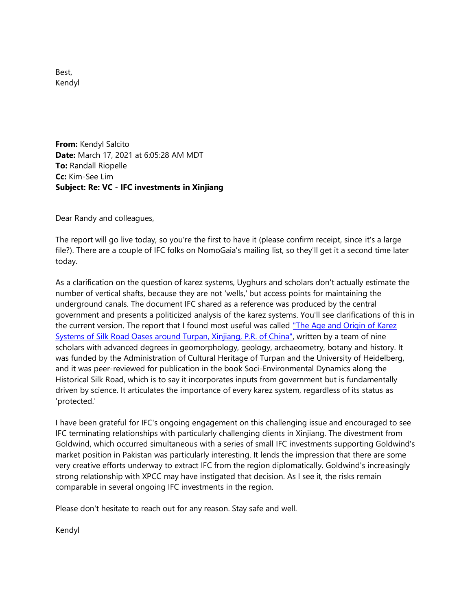Best, Kendyl

**From:** Kendyl Salcito **Date:** March 17, 2021 at 6:05:28 AM MDT **To:** Randall Riopelle **Cc:** Kim-See Lim **Subject: Re: VC - IFC investments in Xinjiang**

Dear Randy and colleagues,

The report will go live today, so you're the first to have it (please confirm receipt, since it's a large file?). There are a couple of IFC folks on NomoGaia's mailing list, so they'll get it a second time later today.

As a clarification on the question of karez systems, Uyghurs and scholars don't actually estimate the number of vertical shafts, because they are not 'wells,' but access points for maintaining the underground canals. The document IFC shared as a reference was produced by the central government and presents a politicized analysis of the karez systems. You'll see clarifications of this in the current version. The report that I found most useful was called "The Age and Origin of Karez [Systems of Silk Road Oases around Turpan, Xinjiang, P.R. of China",](https://link.springer.com/chapter/10.1007/978-3-030-00728-7_17) written by a team of nine scholars with advanced degrees in geomorphology, geology, archaeometry, botany and history. It was funded by the Administration of Cultural Heritage of Turpan and the University of Heidelberg, and it was peer-reviewed for publication in the book Soci-Environmental Dynamics along the Historical Silk Road, which is to say it incorporates inputs from government but is fundamentally driven by science. It articulates the importance of every karez system, regardless of its status as 'protected.'

I have been grateful for IFC's ongoing engagement on this challenging issue and encouraged to see IFC terminating relationships with particularly challenging clients in Xinjiang. The divestment from Goldwind, which occurred simultaneous with a series of small IFC investments supporting Goldwind's market position in Pakistan was particularly interesting. It lends the impression that there are some very creative efforts underway to extract IFC from the region diplomatically. Goldwind's increasingly strong relationship with XPCC may have instigated that decision. As I see it, the risks remain comparable in several ongoing IFC investments in the region.

Please don't hesitate to reach out for any reason. Stay safe and well.

Kendyl